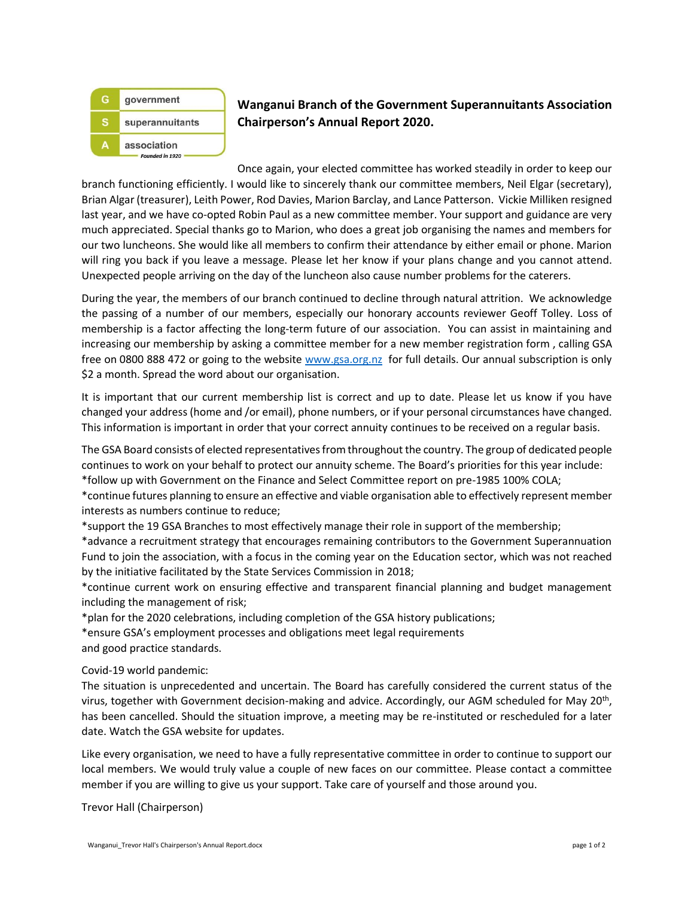

## **Wanganui Branch of the Government Superannuitants Association Chairperson's Annual Report 2020.**

Once again, your elected committee has worked steadily in order to keep our branch functioning efficiently. I would like to sincerely thank our committee members, Neil Elgar (secretary), Brian Algar (treasurer), Leith Power, Rod Davies, Marion Barclay, and Lance Patterson. Vickie Milliken resigned last year, and we have co-opted Robin Paul as a new committee member. Your support and guidance are very much appreciated. Special thanks go to Marion, who does a great job organising the names and members for our two luncheons. She would like all members to confirm their attendance by either email or phone. Marion will ring you back if you leave a message. Please let her know if your plans change and you cannot attend. Unexpected people arriving on the day of the luncheon also cause number problems for the caterers.

During the year, the members of our branch continued to decline through natural attrition. We acknowledge the passing of a number of our members, especially our honorary accounts reviewer Geoff Tolley. Loss of membership is a factor affecting the long-term future of our association. You can assist in maintaining and increasing our membership by asking a committee member for a new member registration form , calling GSA free on 0800 888 472 or going to the website [www.gsa.org.nz](http://www.gsa.org.nz/) for full details. Our annual subscription is only \$2 a month. Spread the word about our organisation.

It is important that our current membership list is correct and up to date. Please let us know if you have changed your address (home and /or email), phone numbers, or if your personal circumstances have changed. This information is important in order that your correct annuity continues to be received on a regular basis.

The GSA Board consists of elected representatives from throughout the country. The group of dedicated people continues to work on your behalf to protect our annuity scheme. The Board's priorities for this year include: \*follow up with Government on the Finance and Select Committee report on pre-1985 100% COLA;

\*continue futures planning to ensure an effective and viable organisation able to effectively represent member interests as numbers continue to reduce;

\*support the 19 GSA Branches to most effectively manage their role in support of the membership;

\*advance a recruitment strategy that encourages remaining contributors to the Government Superannuation Fund to join the association, with a focus in the coming year on the Education sector, which was not reached by the initiative facilitated by the State Services Commission in 2018;

\*continue current work on ensuring effective and transparent financial planning and budget management including the management of risk;

\*plan for the 2020 celebrations, including completion of the GSA history publications;

\*ensure GSA's employment processes and obligations meet legal requirements and good practice standards.

## Covid-19 world pandemic:

The situation is unprecedented and uncertain. The Board has carefully considered the current status of the virus, together with Government decision-making and advice. Accordingly, our AGM scheduled for May 20<sup>th</sup>, has been cancelled. Should the situation improve, a meeting may be re-instituted or rescheduled for a later date. Watch the GSA website for updates.

Like every organisation, we need to have a fully representative committee in order to continue to support our local members. We would truly value a couple of new faces on our committee. Please contact a committee member if you are willing to give us your support. Take care of yourself and those around you.

Trevor Hall (Chairperson)